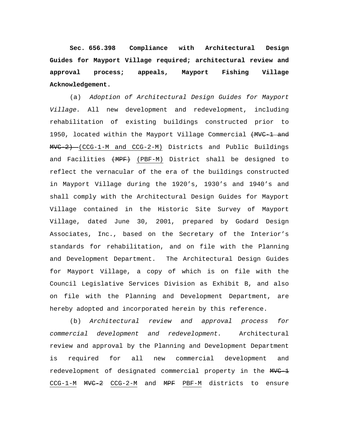**Sec. 656.398 Compliance with Architectural Design Guides for Mayport Village required; architectural review and approval process; appeals, Mayport Fishing Village Acknowledgement.**

(a) *Adoption of Architectural Design Guides for Mayport Village.* All new development and redevelopment, including rehabilitation of existing buildings constructed prior to 1950, located within the Mayport Village Commercial (MVC-1 and MVC-2) (CCG-1-M and CCG-2-M) Districts and Public Buildings and Facilities (MPF) (PBF-M) District shall be designed to reflect the vernacular of the era of the buildings constructed in Mayport Village during the 1920's, 1930's and 1940's and shall comply with the Architectural Design Guides for Mayport Village contained in the Historic Site Survey of Mayport Village, dated June 30, 2001, prepared by Godard Design Associates, Inc., based on the Secretary of the Interior's standards for rehabilitation, and on file with the Planning and Development Department. The Architectural Design Guides for Mayport Village, a copy of which is on file with the Council Legislative Services Division as Exhibit B, and also on file with the Planning and Development Department, are hereby adopted and incorporated herein by this reference.

(b) *Architectural review and approval process for commercial development and redevelopment.* Architectural review and approval by the Planning and Development Department is required for all new commercial development and redevelopment of designated commercial property in the MVC-1 CCG-1-M MVC-2 CCG-2-M and MPF PBF-M districts to ensure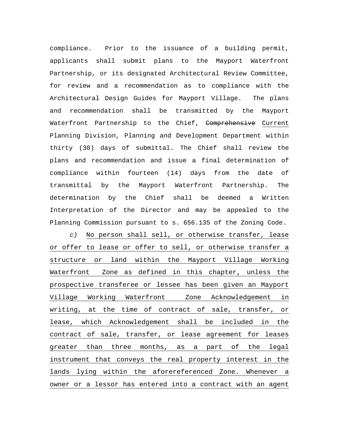compliance. Prior to the issuance of a building permit, applicants shall submit plans to the Mayport Waterfront Partnership, or its designated Architectural Review Committee, for review and a recommendation as to compliance with the Architectural Design Guides for Mayport Village. The plans and recommendation shall be transmitted by the Mayport Waterfront Partnership to the Chief, <del>Comprehensive</del> Current Planning Division, Planning and Development Department within thirty (30) days of submittal. The Chief shall review the plans and recommendation and issue a final determination of compliance within fourteen (14) days from the date of transmittal by the Mayport Waterfront Partnership. The determination by the Chief shall be deemed a Written Interpretation of the Director and may be appealed to the Planning Commission pursuant to s. 656.135 of the Zoning Code.

*c)* No person shall sell, or otherwise transfer, lease or offer to lease or offer to sell, or otherwise transfer a structure or land within the Mayport Village Working Waterfront Zone as defined in this chapter, unless the prospective transferee or lessee has been given an Mayport Village Working Waterfront Zone Acknowledgement in writing, at the time of contract of sale, transfer, or lease, which Acknowledgement shall be included in the contract of sale, transfer, or lease agreement for leases greater than three months, as a part of the legal instrument that conveys the real property interest in the lands lying within the aforereferenced Zone. Whenever a owner or a lessor has entered into a contract with an agent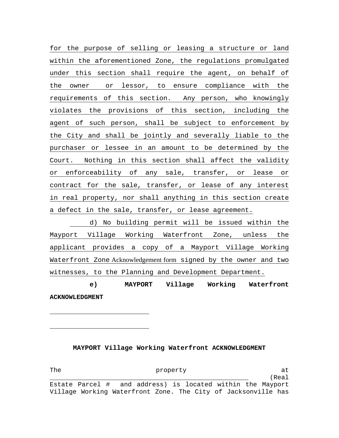for the purpose of selling or leasing a structure or land within the aforementioned Zone, the regulations promulgated under this section shall require the agent, on behalf of the owner or lessor, to ensure compliance with the requirements of this section. Any person, who knowingly violates the provisions of this section, including the agent of such person, shall be subject to enforcement by the City and shall be jointly and severally liable to the purchaser or lessee in an amount to be determined by the Court. Nothing in this section shall affect the validity or enforceability of any sale, transfer, or lease or contract for the sale, transfer, or lease of any interest in real property, nor shall anything in this section create a defect in the sale, transfer, or lease agreement.

 d) No building permit will be issued within the Mayport Village Working Waterfront Zone, unless the applicant provides a copy of a Mayport Village Working Waterfront Zone Acknowledgement form signed by the owner and two witnesses, to the Planning and Development Department.

 **e) MAYPORT Village Working Waterfront ACKNOWLEDGMENT** 

**\_\_\_\_\_\_\_\_\_\_\_\_\_\_\_\_\_\_\_\_\_\_\_\_\_\_** 

**\_\_\_\_\_\_\_\_\_\_\_\_\_\_\_\_\_\_\_\_\_\_\_\_\_\_** 

**MAYPORT Village Working Waterfront ACKNOWLEDGMENT** 

The property at the state of  $\alpha$ \_\_\_\_\_\_\_\_\_\_\_\_\_\_\_\_\_\_\_\_\_\_\_\_\_\_\_\_\_\_\_\_\_\_\_\_\_\_\_\_\_\_\_\_\_\_\_\_\_\_\_\_ (Real Estate Parcel # and address) is located within the Mayport Village Working Waterfront Zone. The City of Jacksonville has